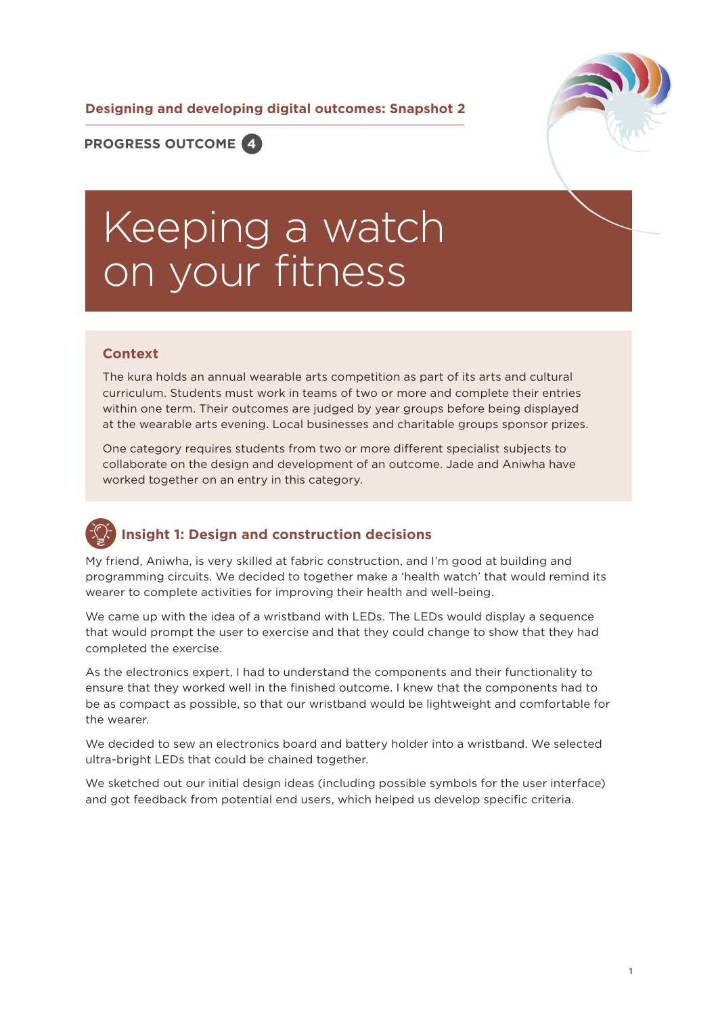**Designing and developing digital outcomes: Snapshot 2**



**PROGRESS OUTCOME 4**

# Keeping a watch on your fitness

#### **Context**

The kura holds an annual wearable arts competition as part of its arts and cultural curriculum. Students must work in teams of two or more and complete their entries within one term. Their outcomes are judged by year groups before being displayed at the wearable arts evening. Local businesses and charitable groups sponsor prizes.

One category requires students from two or more different specialist subjects to collaborate on the design and development of an outcome. Jade and Aniwha have worked together on an entry in this category.

### **Insight 1: Design and construction decisions**

My friend, Aniwha, is very skilled at fabric construction, and I'm good at building and programming circuits. We decided to together make a 'health watch' that would remind its wearer to complete activities for improving their health and well-being.

We came up with the idea of a wristband with LEDs. The LEDs would display a sequence that would prompt the user to exercise and that they could change to show that they had completed the exercise.

As the electronics expert, I had to understand the components and their functionality to ensure that they worked well in the finished outcome. I knew that the components had to be as compact as possible, so that our wristband would be lightweight and comfortable for the wearer.

We decided to sew an electronics board and battery holder into a wristband. We selected ultra-bright LEDs that could be chained together.

We sketched out our initial design ideas (including possible symbols for the user interface) and got feedback from potential end users, which helped us develop specific criteria.